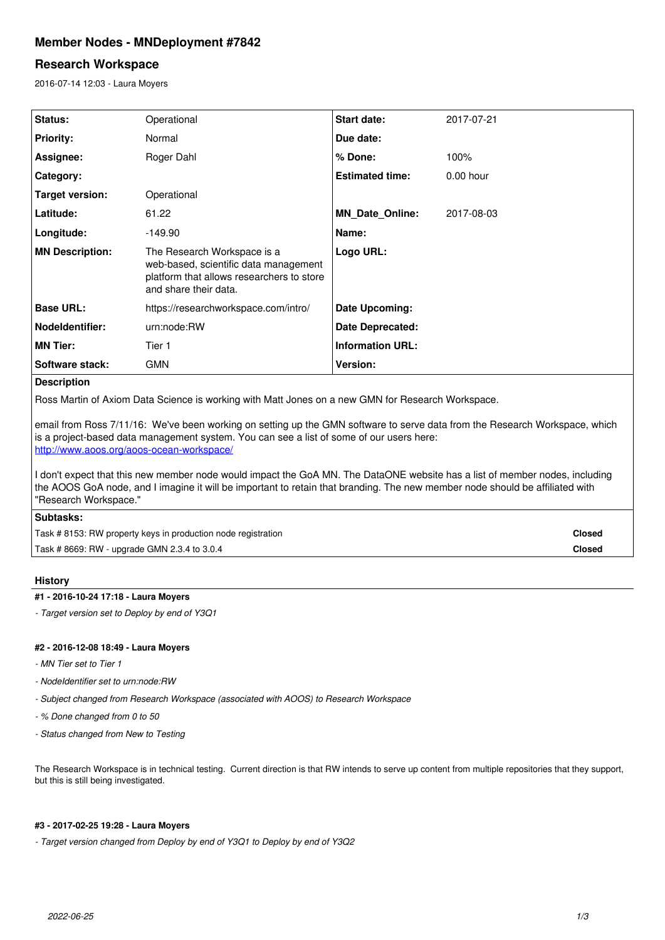# **Member Nodes - MNDeployment #7842**

# **Research Workspace**

2016-07-14 12:03 - Laura Moyers

| Status:                | Operational                                                                                                                                | Start date:             | 2017-07-21  |
|------------------------|--------------------------------------------------------------------------------------------------------------------------------------------|-------------------------|-------------|
| <b>Priority:</b>       | Normal                                                                                                                                     | Due date:               |             |
| Assignee:              | Roger Dahl                                                                                                                                 | $%$ Done:               | 100%        |
| Category:              |                                                                                                                                            | <b>Estimated time:</b>  | $0.00$ hour |
| Target version:        | Operational                                                                                                                                |                         |             |
| Latitude:              | 61.22                                                                                                                                      | <b>MN Date Online:</b>  | 2017-08-03  |
| Longitude:             | $-149.90$                                                                                                                                  | Name:                   |             |
| <b>MN Description:</b> | The Research Workspace is a<br>web-based, scientific data management<br>platform that allows researchers to store<br>and share their data. | Logo URL:               |             |
| <b>Base URL:</b>       | https://researchworkspace.com/intro/                                                                                                       | Date Upcoming:          |             |
| <b>Nodeldentifier:</b> | urn:node:RW                                                                                                                                | <b>Date Deprecated:</b> |             |
| <b>MN Tier:</b>        | Tier 1                                                                                                                                     | <b>Information URL:</b> |             |
| Software stack:        | <b>GMN</b>                                                                                                                                 | <b>Version:</b>         |             |
| <b>Description</b>     |                                                                                                                                            |                         |             |

Ross Martin of Axiom Data Science is working with Matt Jones on a new GMN for Research Workspace.

email from Ross 7/11/16: We've been working on setting up the GMN software to serve data from the Research Workspace, which is a project-based data management system. You can see a list of some of our users here: <http://www.aoos.org/aoos-ocean-workspace/>

I don't expect that this new member node would impact the GoA MN. The DataONE website has a list of member nodes, including the AOOS GoA node, and I imagine it will be important to retain that branding. The new member node should be affiliated with "Research Workspace."

### **Subtasks:**

Task # 8153: RW property keys in production node registration **Closed**

Task # 8669: RW - upgrade GMN 2.3.4 to 3.0.4 **Closed**

# **History**

### **#1 - 2016-10-24 17:18 - Laura Moyers**

*- Target version set to Deploy by end of Y3Q1*

# **#2 - 2016-12-08 18:49 - Laura Moyers**

- *MN Tier set to Tier 1*
- *NodeIdentifier set to urn:node:RW*
- *Subject changed from Research Workspace (associated with AOOS) to Research Workspace*
- *% Done changed from 0 to 50*
- *Status changed from New to Testing*

The Research Workspace is in technical testing. Current direction is that RW intends to serve up content from multiple repositories that they support, but this is still being investigated.

### **#3 - 2017-02-25 19:28 - Laura Moyers**

*- Target version changed from Deploy by end of Y3Q1 to Deploy by end of Y3Q2*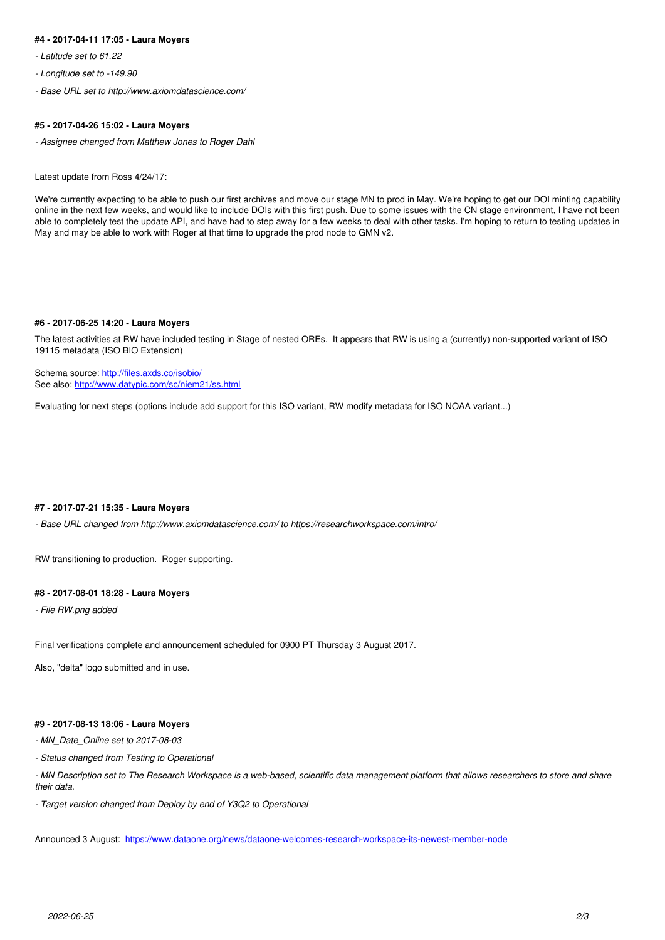#### **#4 - 2017-04-11 17:05 - Laura Moyers**

- *Latitude set to 61.22*
- *Longitude set to -149.90*
- *Base URL set to http://www.axiomdatascience.com/*

#### **#5 - 2017-04-26 15:02 - Laura Moyers**

*- Assignee changed from Matthew Jones to Roger Dahl*

Latest update from Ross 4/24/17:

We're currently expecting to be able to push our first archives and move our stage MN to prod in May. We're hoping to get our DOI minting capability online in the next few weeks, and would like to include DOIs with this first push. Due to some issues with the CN stage environment, I have not been able to completely test the update API, and have had to step away for a few weeks to deal with other tasks. I'm hoping to return to testing updates in May and may be able to work with Roger at that time to upgrade the prod node to GMN v2.

#### **#6 - 2017-06-25 14:20 - Laura Moyers**

The latest activities at RW have included testing in Stage of nested OREs. It appears that RW is using a (currently) non-supported variant of ISO 19115 metadata (ISO BIO Extension)

Schema source:<http://files.axds.co/isobio/> See also: <http://www.datypic.com/sc/niem21/ss.html>

Evaluating for next steps (options include add support for this ISO variant, RW modify metadata for ISO NOAA variant...)

#### **#7 - 2017-07-21 15:35 - Laura Moyers**

*- Base URL changed from http://www.axiomdatascience.com/ to https://researchworkspace.com/intro/*

RW transitioning to production. Roger supporting.

#### **#8 - 2017-08-01 18:28 - Laura Moyers**

*- File RW.png added*

Final verifications complete and announcement scheduled for 0900 PT Thursday 3 August 2017.

Also, "delta" logo submitted and in use.

#### **#9 - 2017-08-13 18:06 - Laura Moyers**

*- MN\_Date\_Online set to 2017-08-03*

*- Status changed from Testing to Operational*

*- MN Description set to The Research Workspace is a web-based, scientific data management platform that allows researchers to store and share their data.* 

*- Target version changed from Deploy by end of Y3Q2 to Operational*

Announced 3 August: <https://www.dataone.org/news/dataone-welcomes-research-workspace-its-newest-member-node>